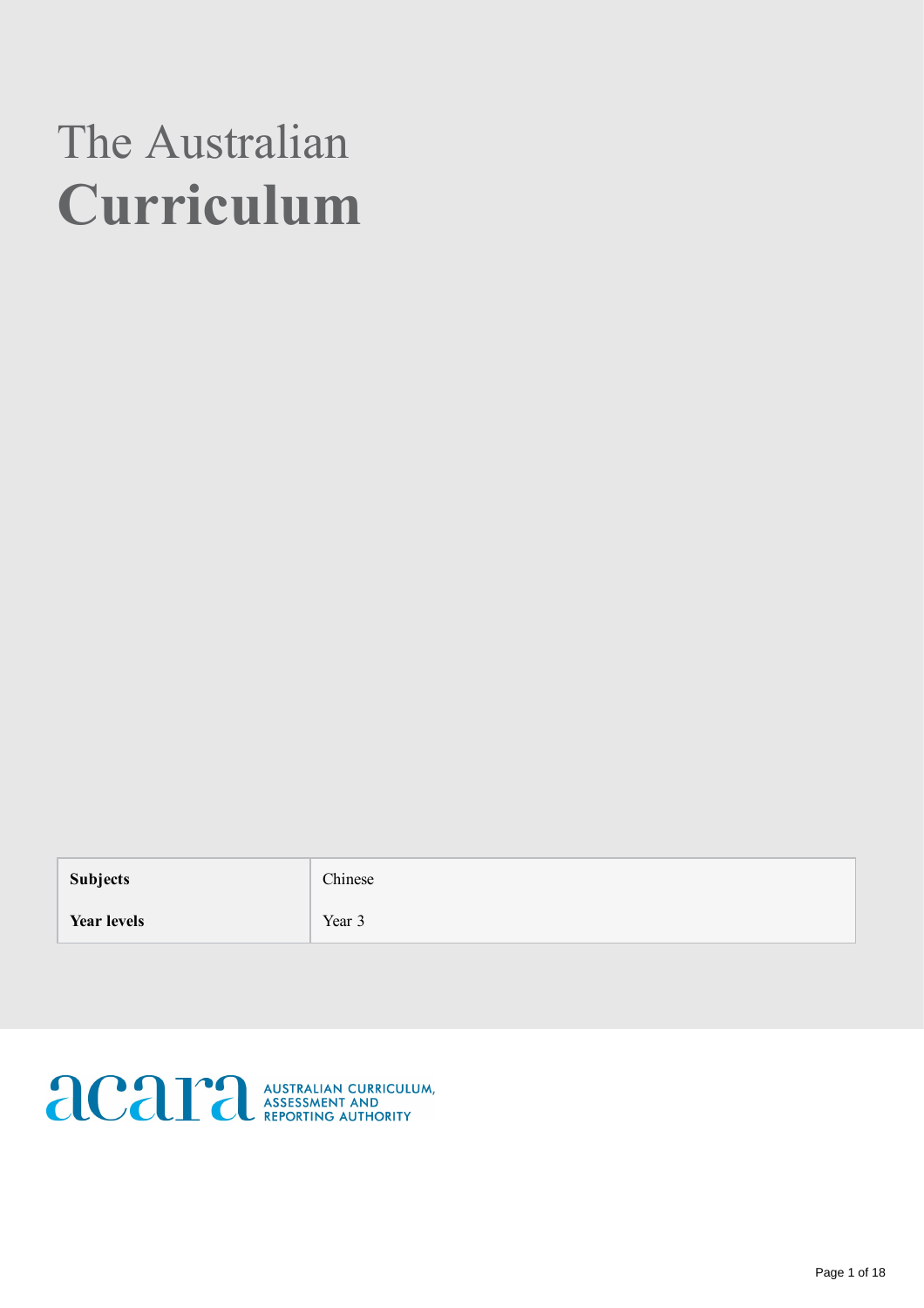# The Australian Curriculum

Subjects chinese

**Year levels** Year 3

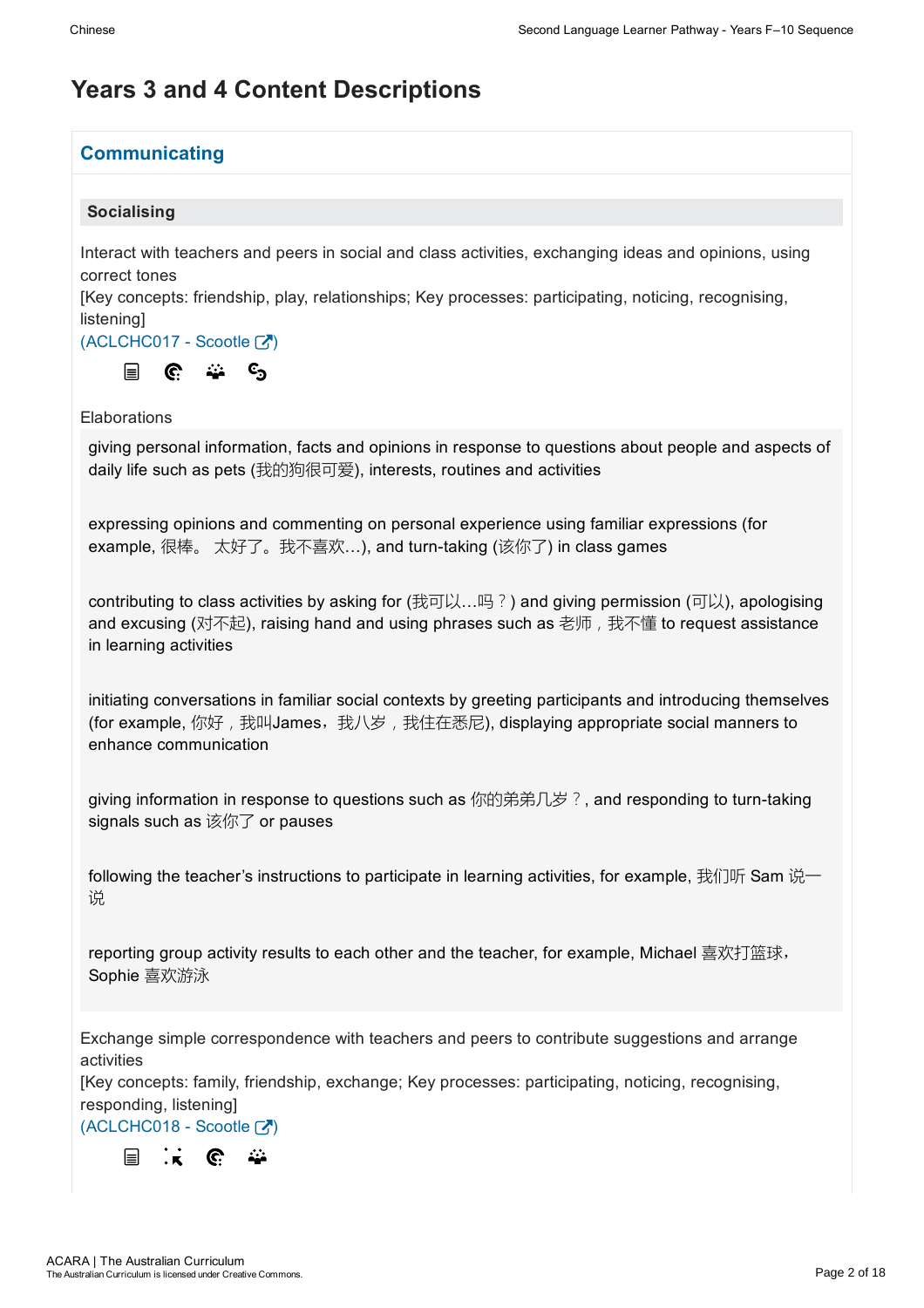## Years 3 and 4 Content Descriptions

### **Communicating**

### Socialising

Interact with teachers and peers in social and class activities, exchanging ideas and opinions, using correct tones

[Key concepts: friendship, play, relationships; Key processes: participating, noticing, recognising, **listening** 

 $(ACLCHC017 - Scootle [Z])$ 



**Elaborations** 

giving personal information, facts and opinions in response to questions about people and aspects of daily life such as pets (我的狗很可爱), interests, routines and activities

expressing opinions and commenting on personal experience using familiar expressions (for example, 很棒。 太好了。我不喜欢…), and turn-taking (该你了) in class games

contributing to class activities by asking for (我可以…吗?) and giving permission (可以), apologising and excusing (对不起), raising hand and using phrases such as 老师, 我不懂 to request assistance in learning activities

initiating conversations in familiar social contexts by greeting participants and introducing themselves (for example, 你好, 我叫James, 我八岁, 我住在悉尼), displaying appropriate social manners to enhance communication

giving information in response to questions such as 你的弟弟几岁?, and responding to turn-taking signals such as 该你了 or pauses

following the teacher's instructions to participate in learning activities, for example, 我们听 Sam 说一 说

reporting group activity results to each other and the teacher, for example, Michael 喜欢打篮球, Sophie 喜欢游泳

Exchange simple correspondence with teachers and peers to contribute suggestions and arrange activities

[Key concepts: family, friendship, exchange; Key processes: participating, noticing, recognising, responding, listening]

 $(ACLCHC018 - Scootle [2])$ 

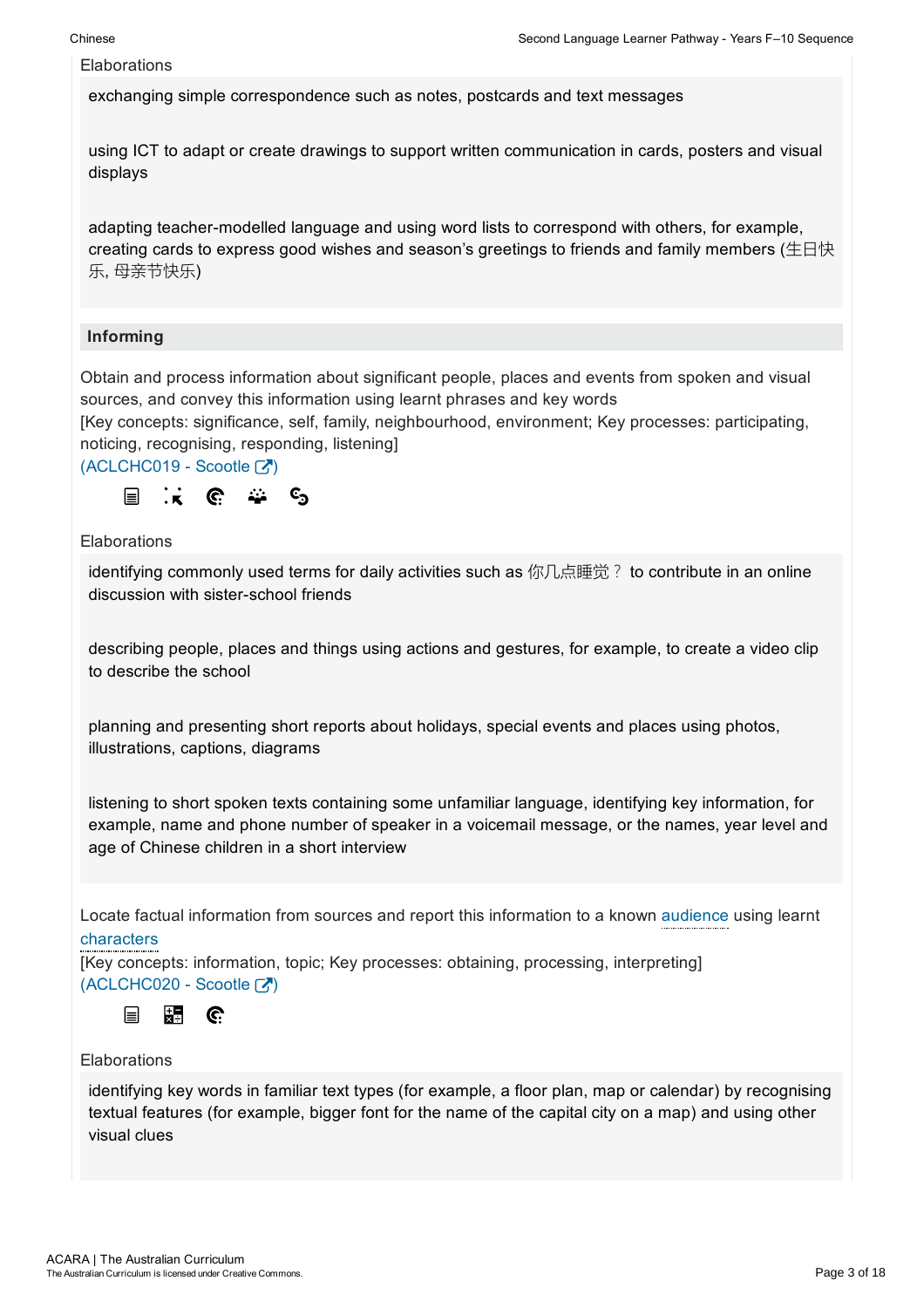exchanging simple correspondence such as notes, postcards and text messages

using ICT to adapt or create drawings to support written communication in cards, posters and visual displays

adapting teacher-modelled language and using word lists to correspond with others, for example, creating cards to express good wishes and season's greetings to friends and family members (生日快 乐, 母亲节快乐)

### Informing

Obtain and process information about significant people, places and events from spoken and visual sources, and convey this information using learnt phrases and key words

[Key concepts: significance, self, family, neighbourhood, environment; Key processes: participating, noticing, recognising, responding, listening]

 $(ACLCHC019 - Scootle [7])$ 



Elaborations

identifying commonly used terms for daily activities such as 你几点睡觉? to contribute in an online discussion with sister-school friends

describing people, places and things using actions and gestures, for example, to create a video clip to describe the school

planning and presenting short reports about holidays, special events and places using photos, illustrations, captions, diagrams

listening to short spoken texts containing some unfamiliar language, identifying key information, for example, name and phone number of speaker in a voicemail message, or the names, year level and age of Chinese children in a short interview

Locate factual information from sources and report this information to a known audience using learnt characters

[Key concepts: information, topic; Key processes: obtaining, processing, interpreting]  $(ACLCHC020 - Scootle [2])$ 



### Elaborations

identifying key words in familiar text types (for example, a floor plan, map or calendar) by recognising textual features (for example, bigger font for the name of the capital city on a map) and using other visual clues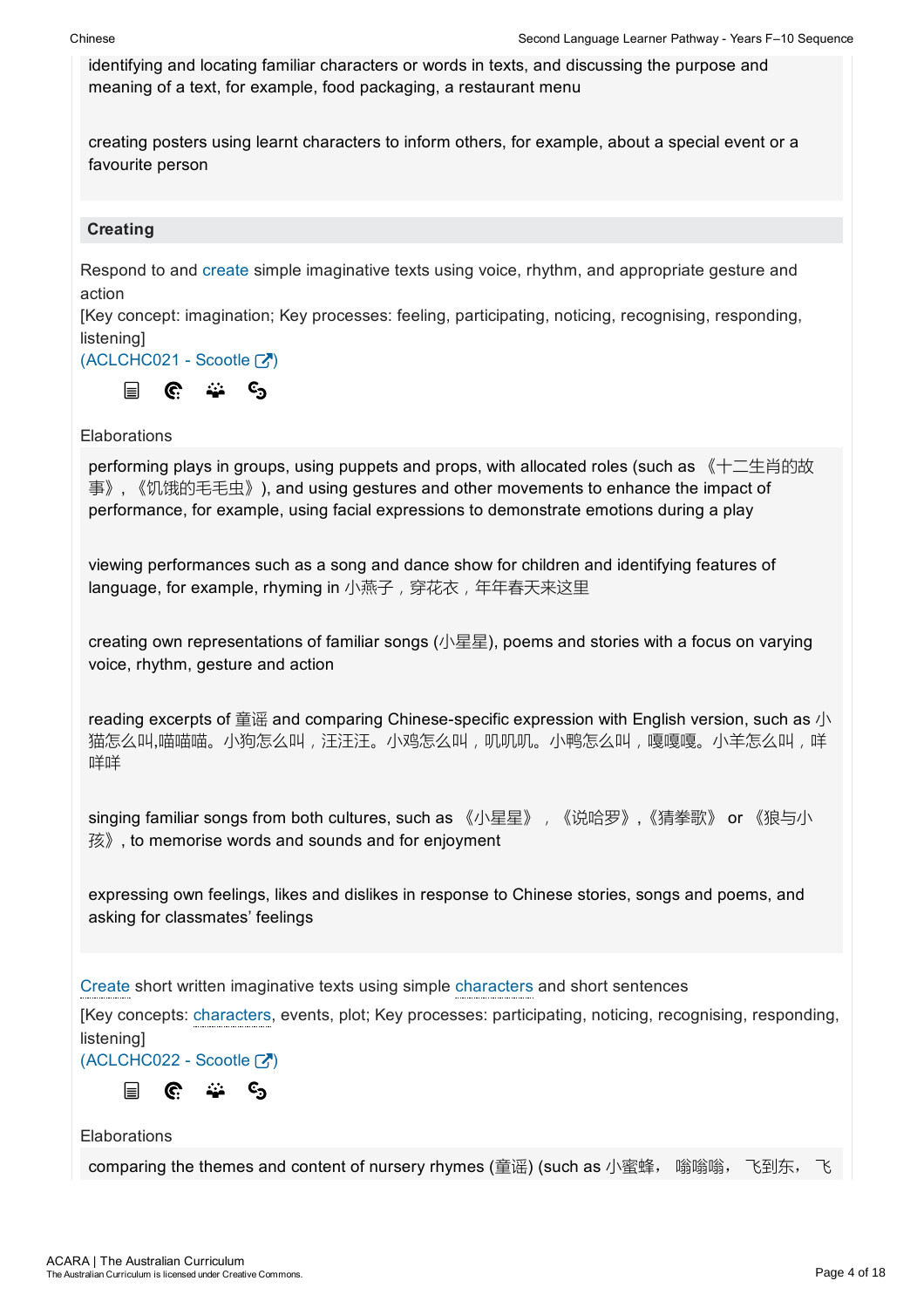identifying and locating familiar characters or words in texts, and discussing the purpose and meaning of a text, for example, food packaging, a restaurant menu

creating posters using learnt characters to inform others, for example, about a special event or a favourite person

### **Creating**

Respond to and create simple imaginative texts using voice, rhythm, and appropriate gesture and action

[Key concept: imagination; Key processes: feeling, participating, noticing, recognising, responding, **listening** 

(ACLCHC021 - Scootle [7])



### **Elaborations**

performing plays in groups, using puppets and props, with allocated roles (such as 《十二生肖的故 事》, 《饥饿的毛毛虫》), and using gestures and other movements to enhance the impact of performance, for example, using facial expressions to demonstrate emotions during a play

viewing performances such as a song and dance show for children and identifying features of language, for example, rhyming in 小燕子,穿花衣,年年春天来这里

creating own representations of familiar songs (小星星), poems and stories with a focus on varying voice, rhythm, gesture and action

reading excerpts of 童谣 and comparing Chinese-specific expression with English version, such as 小 猫怎么叫,喵喵喵。小狗怎么叫,飞鸡怎么叫,叽叽叽。小鸭怎么叫,嘎嘎嘎。小羊怎么叫,咩 咩咩

singing familiar songs from both cultures, such as 《小星星》, 《说哈罗》,《猜拳歌》 or 《狼与小 孩》, to memorise words and sounds and for enjoyment

expressing own feelings, likes and dislikes in response to Chinese stories, songs and poems, and asking for classmates' feelings

Create short written imaginative texts using simple characters and short sentences

[Key concepts: characters, events, plot; Key processes: participating, noticing, recognising, responding, **listening** 

 $(ACLCHC022 -$ Scootle  $\boxed{3}$ 

44  $\mathbf{c}_\mathbf{a}$  $\equiv$ G.

**Elaborations** 

comparing the themes and content of nursery rhymes (童谣) (such as 小蜜蜂, 嗡嗡嗡, 飞到东, 飞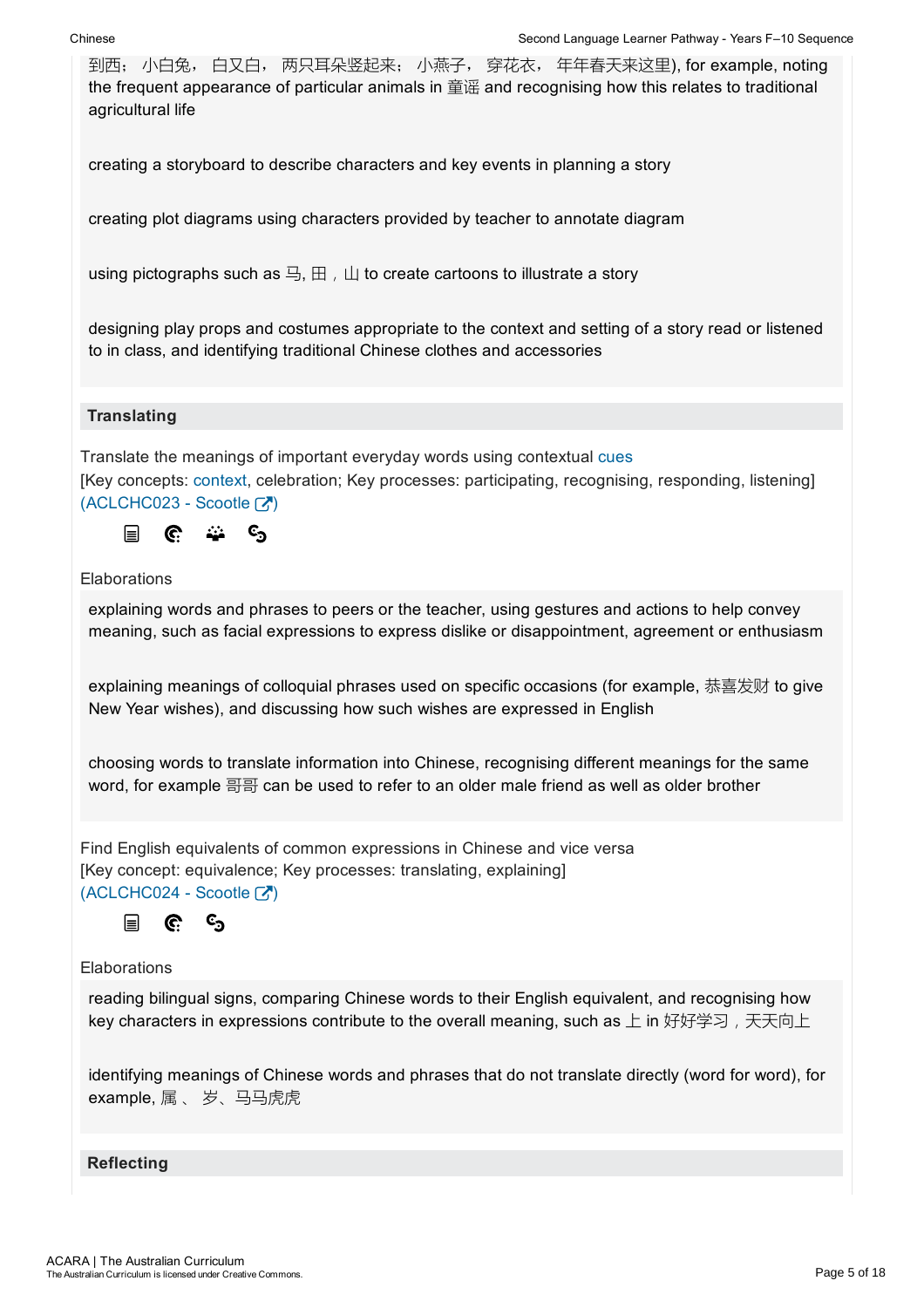到西; 小白兔, 白又白, 两只耳朵竖起来; 小燕子, 穿花衣, 年年春天来这里), for example, noting the frequent appearance of particular animals in 童谣 and recognising how this relates to traditional agricultural life

creating a storyboard to describe characters and key events in planning a story

creating plot diagrams using characters provided by teacher to annotate diagram

using pictographs such as 马, 田, 山 to create cartoons to illustrate a story

designing play props and costumes appropriate to the context and setting of a story read or listened to in class, and identifying traditional Chinese clothes and accessories

### **Translating**

Translate the meanings of important everyday words using contextual cues [Key concepts: context, celebration; Key processes: participating, recognising, responding, listening] (ACLCHC023 - Scootle [7])



### **Elaborations**

explaining words and phrases to peers or the teacher, using gestures and actions to help convey meaning, such as facial expressions to express dislike or disappointment, agreement or enthusiasm

explaining meanings of colloquial phrases used on specific occasions (for example, 恭喜发财 to give New Year wishes), and discussing how such wishes are expressed in English

choosing words to translate information into Chinese, recognising different meanings for the same word, for example 哥哥 can be used to refer to an older male friend as well as older brother

Find English equivalents of common expressions in Chinese and vice versa [Key concept: equivalence; Key processes: translating, explaining]  $(ACLCHC024 - Scootle [7])$ 

ල<br> 目

C.

### **Elaborations**

reading bilingual signs, comparing Chinese words to their English equivalent, and recognising how key characters in expressions contribute to the overall meaning, such as 上 in 好好学习, 天天向上

identifying meanings of Chinese words and phrases that do not translate directly (word for word), for example, 属 、 岁、马马虎虎

### **Reflecting**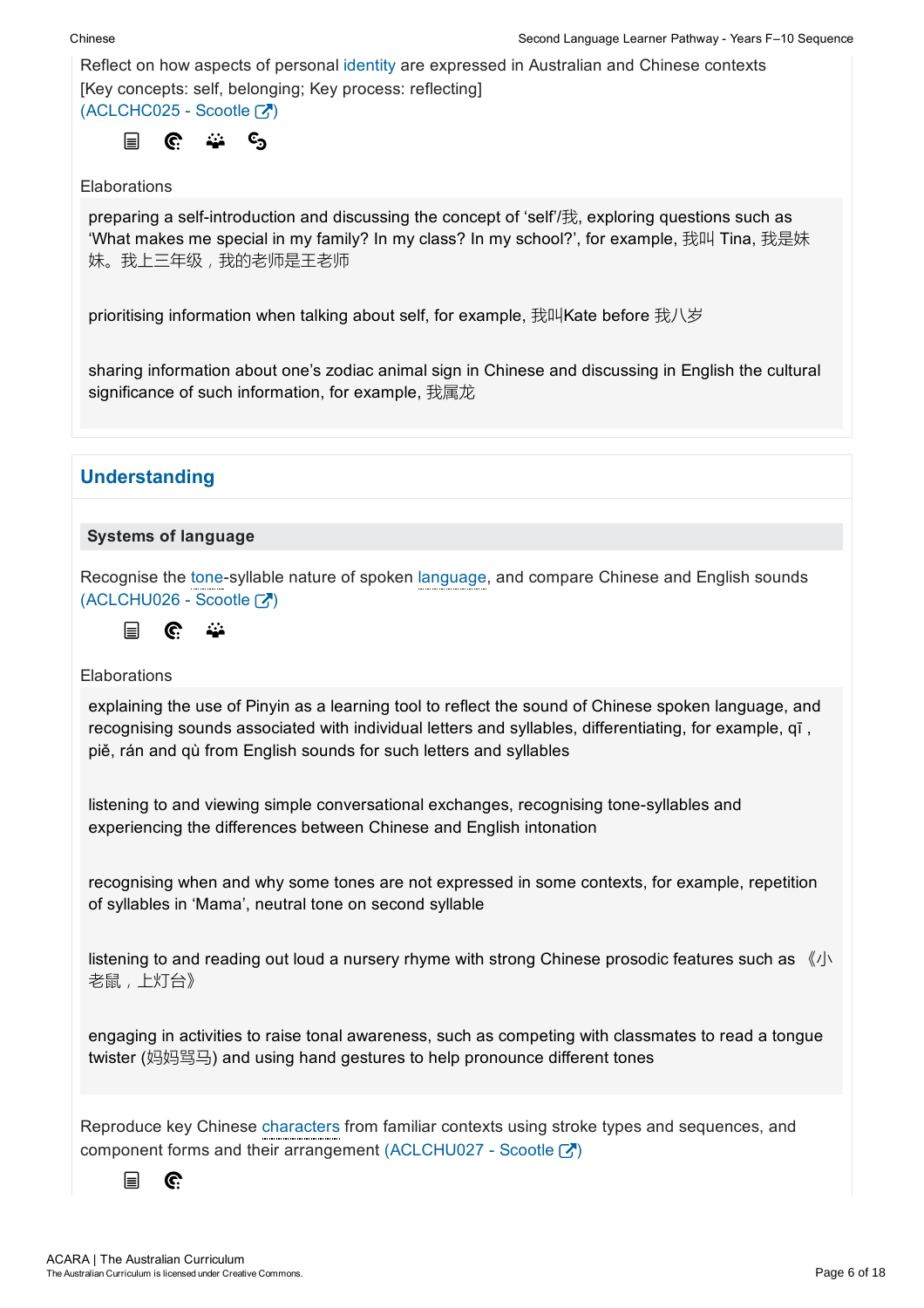Reflect on how aspects of personal identity are expressed in Australian and Chinese contexts [Key concepts: self, belonging; Key process: reflecting]  $(ACLCHC025 - **Scootle**  $\boxed{3}$ )$ 

$$
\Box \quad \mathbb{C} \quad \cong \quad \mathbb{C}_2
$$

### **Elaborations**

preparing a selfintroduction and discussing the concept of 'self'/我, exploring questions such as 'What makes me special in my family? In my class? In my school?', for example, 我叫 Tina, 我是妹 妹。我上三年级,我的老师是王老师

prioritising information when talking about self, for example, 我叫Kate before 我八岁

sharing information about one's zodiac animal sign in Chinese and discussing in English the cultural significance of such information, for example, 我属龙

### **Understanding**

### Systems of language

Recognise the tone-syllable nature of spoken language, and compare Chinese and English sounds (ACLCHU026 - Scootle [7]

$$
\equiv \quad \textbf{C} \quad \textbf{L}
$$

### Elaborations

explaining the use of Pinyin as a learning tool to reflect the sound of Chinese spoken language, and recognising sounds associated with individual letters and syllables, differentiating, for example, qī , piě, rán and qù from English sounds for such letters and syllables

listening to and viewing simple conversational exchanges, recognising tone-syllables and experiencing the differences between Chinese and English intonation

recognising when and why some tones are not expressed in some contexts, for example, repetition of syllables in 'Mama', neutral tone on second syllable

listening to and reading out loud a nursery rhyme with strong Chinese prosodic features such as  $\langle \psi \rangle$ 老鼠,上灯台》

engaging in activities to raise tonal awareness, such as competing with classmates to read a tongue twister (妈妈骂马) and using hand gestures to help pronounce different tones

Reproduce key Chinese characters from familiar contexts using stroke types and sequences, and component forms and their arrangement (ACLCHU027 - Scootle  $\binom{1}{1}$ )

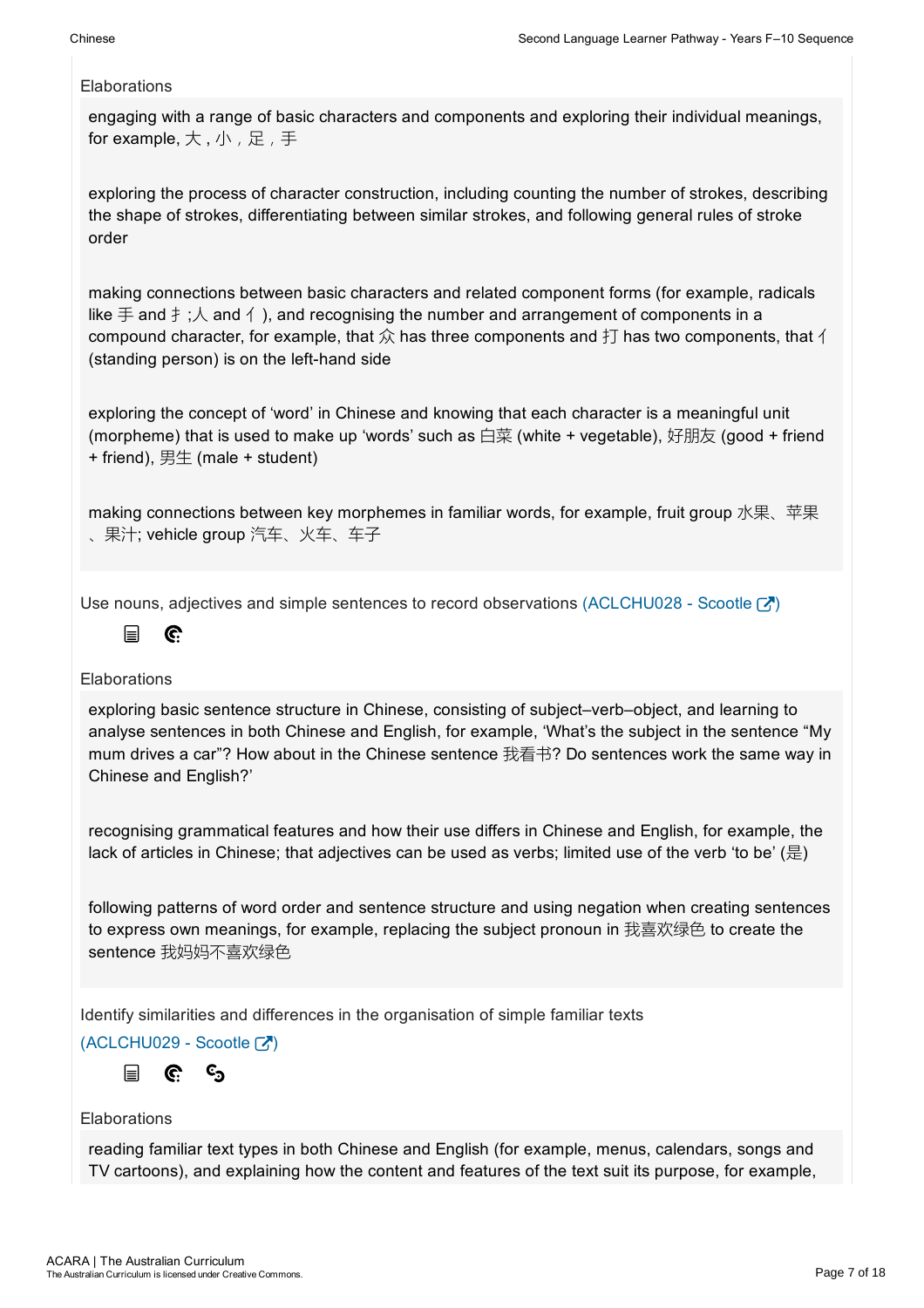engaging with a range of basic characters and components and exploring their individual meanings, for example, 大, 小, 足, 手

exploring the process of character construction, including counting the number of strokes, describing the shape of strokes, differentiating between similar strokes, and following general rules of stroke order

making connections between basic characters and related component forms (for example, radicals like  $\pm$  and  $\pm$ ;  $\wedge$  and  $\wedge$ ), and recognising the number and arrangement of components in a compound character, for example, that  $\hat{\chi}$  has three components and  $\dagger \text{I}$  has two components, that  $\uparrow$ (standing person) is on the left-hand side

exploring the concept of 'word' in Chinese and knowing that each character is a meaningful unit (morpheme) that is used to make up 'words' such as 白菜 (white + vegetable), 好朋友 (good + friend  $+$  friend), 男生 (male  $+$  student)

making connections between key morphemes in familiar words, for example, fruit group 水果、苹果 、果汁; vehicle group 汽车、火车、车子

Use nouns, adjectives and simple sentences to record observations (ACLCHU028 - Scootle  $\mathbf{Z}$ )

#### $\mathbb{C}$ 冒

### **Elaborations**

exploring basic sentence structure in Chinese, consisting of subject–verb–object, and learning to analyse sentences in both Chinese and English, for example, 'What's the subject in the sentence "My mum drives a car"? How about in the Chinese sentence 我看书? Do sentences work the same way in Chinese and English?'

recognising grammatical features and how their use differs in Chinese and English, for example, the lack of articles in Chinese; that adjectives can be used as verbs; limited use of the verb 'to be' (是)

following patterns of word order and sentence structure and using negation when creating sentences to express own meanings, for example, replacing the subject pronoun in 我喜欢绿色 to create the sentence 我妈妈不喜欢绿色

Identify similarities and differences in the organisation of simple familiar texts

 $(ACLCHU029 - ScoreE)$ 

 $c_{\mathbf{S}}$ G. 目

### Elaborations

reading familiar text types in both Chinese and English (for example, menus, calendars, songs and TV cartoons), and explaining how the content and features of the text suit its purpose, for example,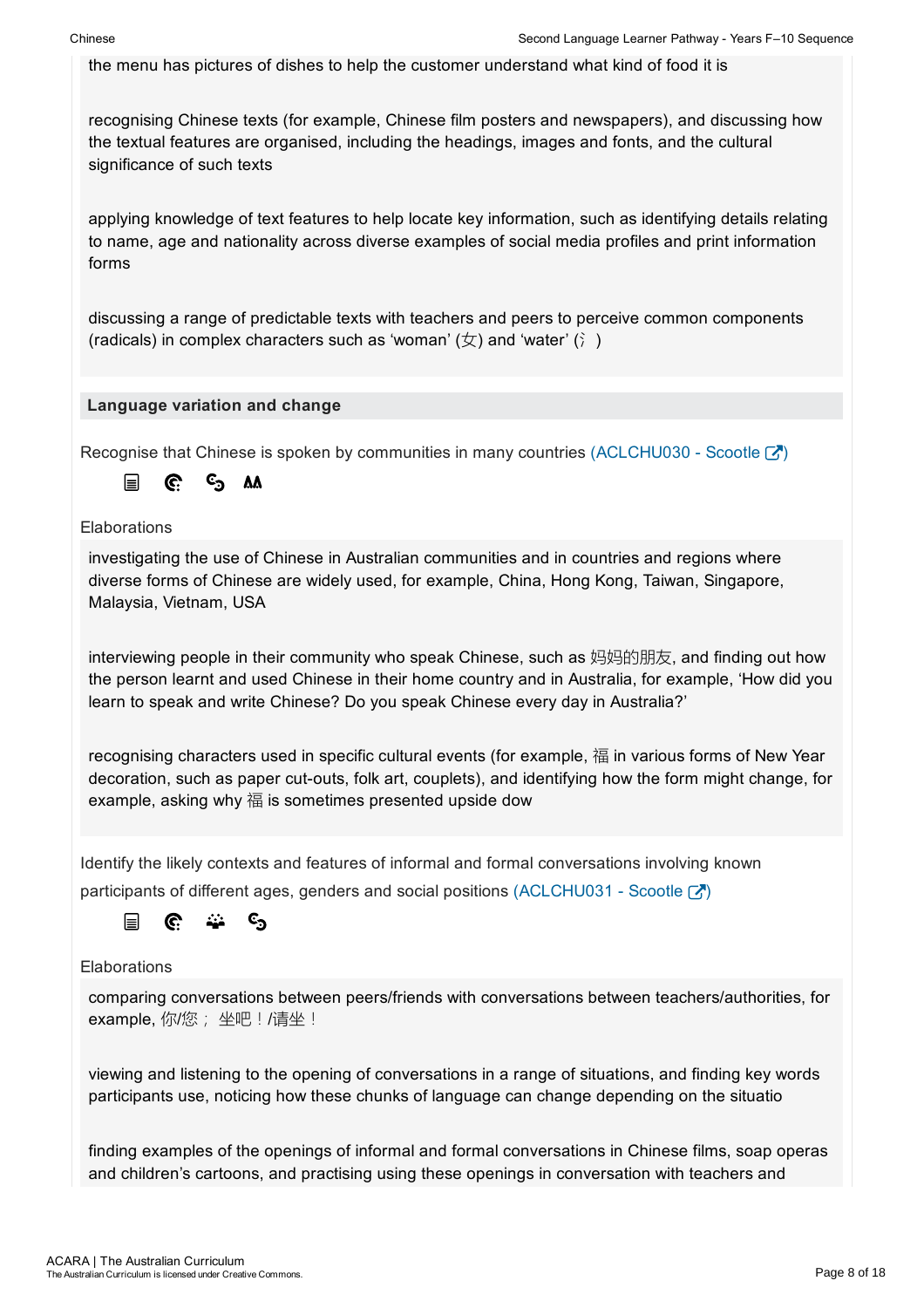the menu has pictures of dishes to help the customer understand what kind of food it is

recognising Chinese texts (for example, Chinese film posters and newspapers), and discussing how the textual features are organised, including the headings, images and fonts, and the cultural significance of such texts

applying knowledge of text features to help locate key information, such as identifying details relating to name, age and nationality across diverse examples of social media profiles and print information forms

discussing a range of predictable texts with teachers and peers to perceive common components (radicals) in complex characters such as 'woman'  $(\nabla)$  and 'water' ( $\hat{i}$ )

### Language variation and change

Recognise that Chinese is spoken by communities in many countries (ACLCHU030 - Scootle  $\binom{1}{1}$ )

<sup>ල</sup>ා AA 目 G.

**Elaborations** 

investigating the use of Chinese in Australian communities and in countries and regions where diverse forms of Chinese are widely used, for example, China, Hong Kong, Taiwan, Singapore, Malaysia, Vietnam, USA

interviewing people in their community who speak Chinese, such as 妈妈的朋友, and finding out how the person learnt and used Chinese in their home country and in Australia, for example, 'How did you learn to speak and write Chinese? Do you speak Chinese every day in Australia?'

recognising characters used in specific cultural events (for example, 福 in various forms of New Year decoration, such as paper cut-outs, folk art, couplets), and identifying how the form might change, for example, asking why 福 is sometimes presented upside dow

Identify the likely contexts and features of informal and formal conversations involving known participants of different ages, genders and social positions (ACLCHU031 - Scootle  $\mathbb{Z}$ )



**Elaborations** 

comparing conversations between peers/friends with conversations between teachers/authorities, for example, 你/您; 坐吧! /请坐!

viewing and listening to the opening of conversations in a range of situations, and finding key words participants use, noticing how these chunks of language can change depending on the situatio

finding examples of the openings of informal and formal conversations in Chinese films, soap operas and children's cartoons, and practising using these openings in conversation with teachers and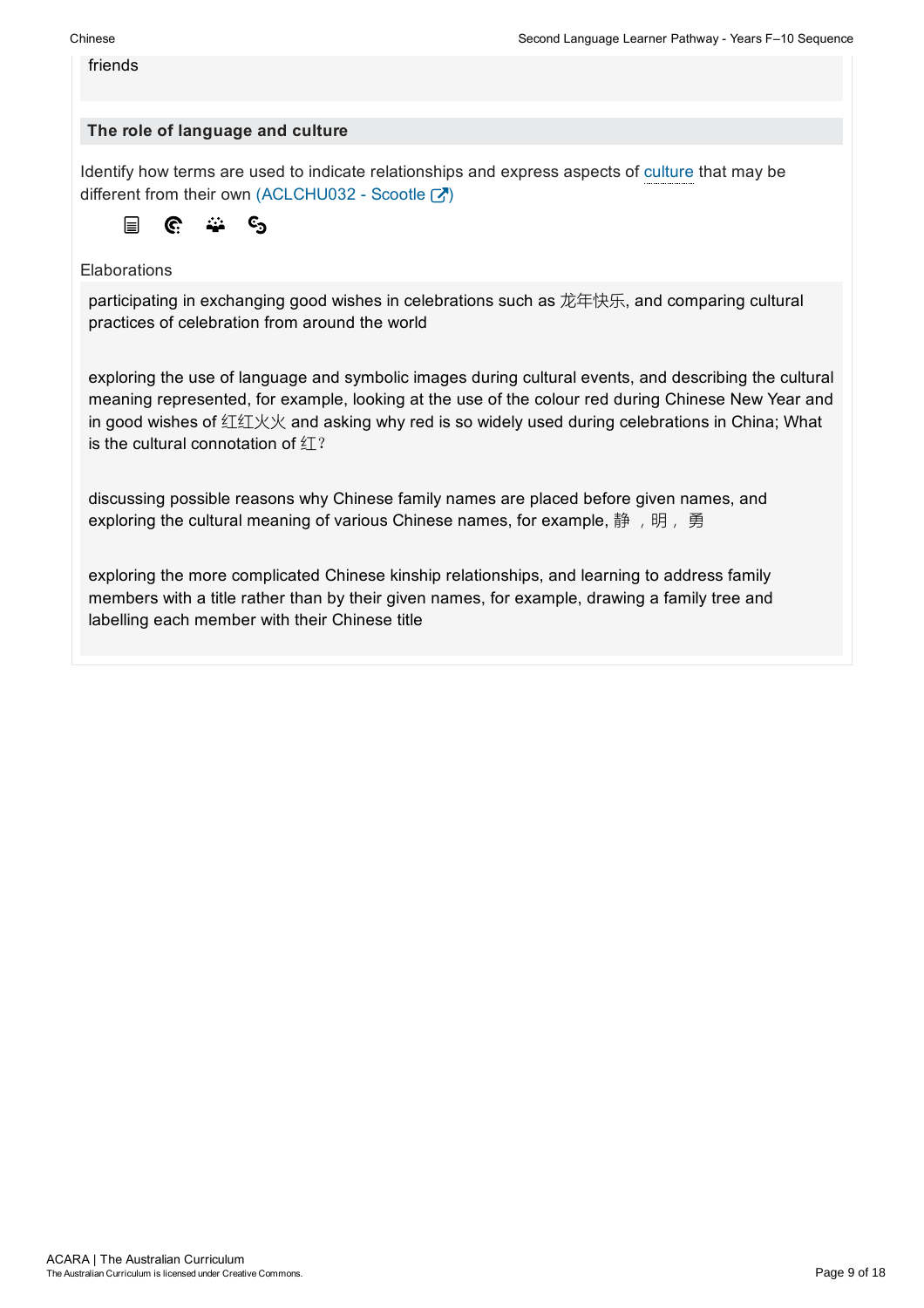#### friends

### The role of language and culture

Identify how terms are used to indicate relationships and express aspects of culture that may be different from their own (ACLCHU032 - Scootle  $\boxed{\cdot}$ )

$$
\boxed{\blacksquare} \quad \mathbf{C} \quad \stackrel{..}{\bullet} \quad \mathbf{C}_2
$$

### **Elaborations**

participating in exchanging good wishes in celebrations such as 龙年快乐, and comparing cultural practices of celebration from around the world

exploring the use of language and symbolic images during cultural events, and describing the cultural meaning represented, for example, looking at the use of the colour red during Chinese New Year and in good wishes of 红红火火 and asking why red is so widely used during celebrations in China; What is the cultural connotation of  $\angle T$ ?

discussing possible reasons why Chinese family names are placed before given names, and exploring the cultural meaning of various Chinese names, for example, 静, 明, 勇

exploring the more complicated Chinese kinship relationships, and learning to address family members with a title rather than by their given names, for example, drawing a family tree and labelling each member with their Chinese title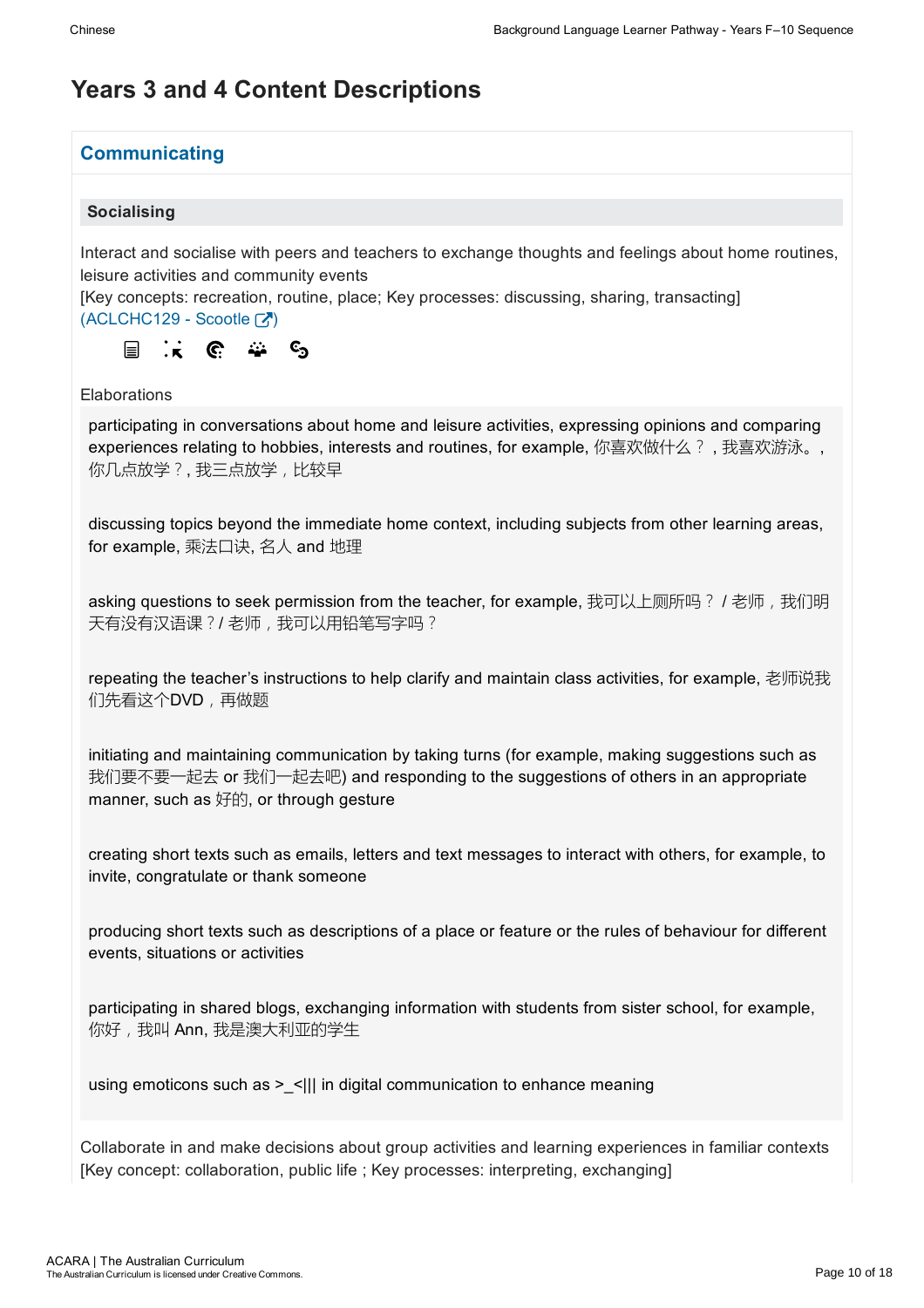### Years 3 and 4 Content Descriptions

### **Communicating**

### Socialising

Interact and socialise with peers and teachers to exchange thoughts and feelings about home routines, leisure activities and community events

[Key concepts: recreation, routine, place; Key processes: discussing, sharing, transacting]

 $(ACLCHC129 - Scootle [2])$ 



Elaborations

participating in conversations about home and leisure activities, expressing opinions and comparing experiences relating to hobbies, interests and routines, for example, 你喜欢做什么?, 我喜欢游泳。, 你几点放学?, 我三点放学,比较早

discussing topics beyond the immediate home context, including subjects from other learning areas, for example, 乘法口诀, 名人 and 地理

asking questions to seek permission from the teacher, for example, 我可以上厕所吗? / 老师,我们明 天有没有汉语课?/ 老师,我可以用铅笔写字吗?

repeating the teacher's instructions to help clarify and maintain class activities, for example, 老师说我 们先看这个DVD,再做题

initiating and maintaining communication by taking turns (for example, making suggestions such as 我们要不要一起去 or 我们一起去吧) and responding to the suggestions of others in an appropriate manner, such as 好的, or through gesture

creating short texts such as emails, letters and text messages to interact with others, for example, to invite, congratulate or thank someone

producing short texts such as descriptions of a place or feature or the rules of behaviour for different events, situations or activities

participating in shared blogs, exchanging information with students from sister school, for example, 你好,我叫 Ann,我是澳大利亚的学生

using emoticons such as  $>$  <||| in digital communication to enhance meaning

Collaborate in and make decisions about group activities and learning experiences in familiar contexts [Key concept: collaboration, public life ; Key processes: interpreting, exchanging]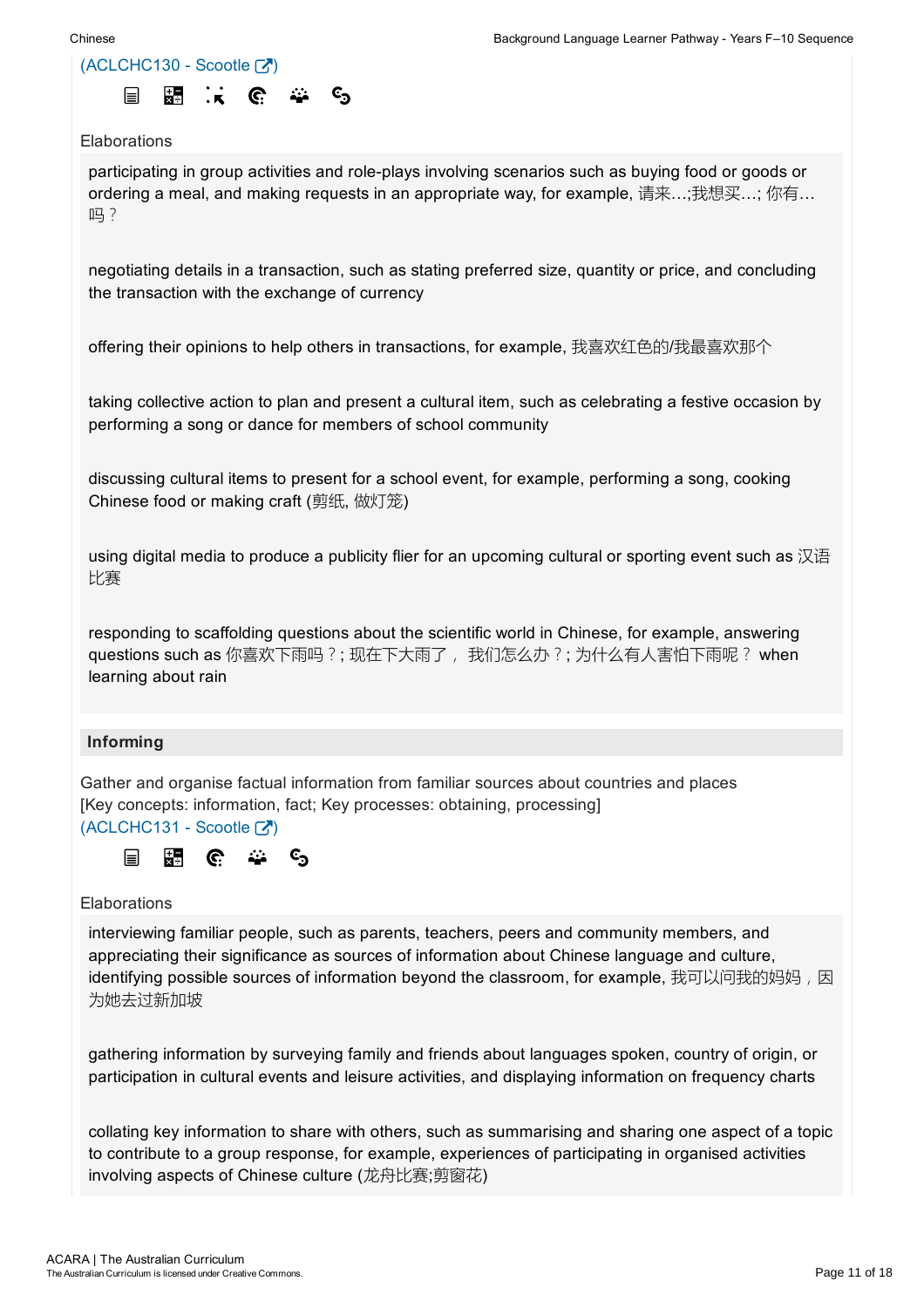

participating in group activities and role-plays involving scenarios such as buying food or goods or ordering a meal, and making requests in an appropriate way, for example, 请来…;我想买…; 你有… 吗?

negotiating details in a transaction, such as stating preferred size, quantity or price, and concluding the transaction with the exchange of currency

offering their opinions to help others in transactions, for example, 我喜欢红色的/我最喜欢那个

taking collective action to plan and present a cultural item, such as celebrating a festive occasion by performing a song or dance for members of school community

discussing cultural items to present for a school event, for example, performing a song, cooking Chinese food or making craft (剪纸, 做灯笼)

using digital media to produce a publicity flier for an upcoming cultural or sporting event such as 汉语 比赛

responding to scaffolding questions about the scientific world in Chinese, for example, answering questions such as 你喜欢下雨吗?; 现在下大雨了, 我们怎么办?; 为什么有人害怕下雨呢? when learning about rain

### Informing

Gather and organise factual information from familiar sources about countries and places [Key concepts: information, fact; Key processes: obtaining, processing]  $(ACLCHC131 - Scootle [7])$ 



### **Elaborations**

interviewing familiar people, such as parents, teachers, peers and community members, and appreciating their significance as sources of information about Chinese language and culture, identifving possible sources of information bevond the classroom, for example, 我可以问我的妈妈,因 为她去过新加坡

gathering information by surveying family and friends about languages spoken, country of origin, or participation in cultural events and leisure activities, and displaying information on frequency charts

collating key information to share with others, such as summarising and sharing one aspect of a topic to contribute to a group response, for example, experiences of participating in organised activities involving aspects of Chinese culture (龙舟比赛;剪窗花)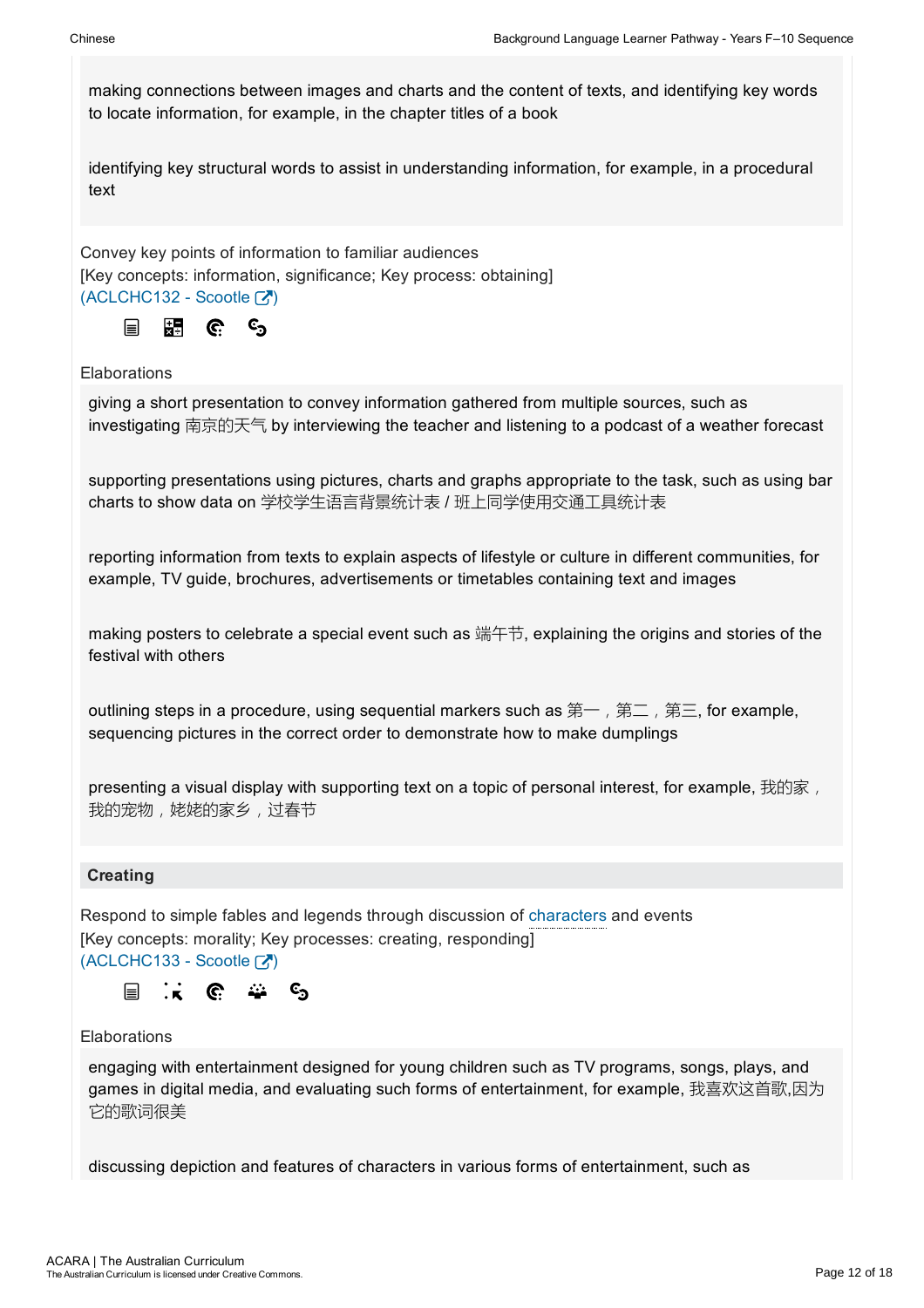making connections between images and charts and the content of texts, and identifying key words to locate information, for example, in the chapter titles of a book

identifying key structural words to assist in understanding information, for example, in a procedural text

Convey key points of information to familiar audiences [Key concepts: information, significance; Key process: obtaining]  $(ACLCHC132 -$ Scootle  $\boxed{3}$ 



### Elaborations

giving a short presentation to convey information gathered from multiple sources, such as investigating 南京的天气 by interviewing the teacher and listening to a podcast of a weather forecast

supporting presentations using pictures, charts and graphs appropriate to the task, such as using bar charts to show data on 学校学生语言背景统计表 / 班上同学使用交通工具统计表

reporting information from texts to explain aspects of lifestyle or culture in different communities, for example, TV guide, brochures, advertisements or timetables containing text and images

making posters to celebrate a special event such as 端午节, explaining the origins and stories of the festival with others

outlining steps in a procedure, using sequential markers such as 第一, 第二, 第三, for example, sequencing pictures in the correct order to demonstrate how to make dumplings

presenting a visual display with supporting text on a topic of personal interest, for example, 我的家, 我的宠物,姥姥的家乡,过春节

### **Creating**

Respond to simple fables and legends through discussion of characters and events [Key concepts: morality; Key processes: creating, responding]  $(ACLCHC133 - Scootle [7])$ 



### Elaborations

engaging with entertainment designed for young children such as TV programs, songs, plays, and games in digital media, and evaluating such forms of entertainment, for example, 我喜欢这首歌,因为 它的歌词很美

discussing depiction and features of characters in various forms of entertainment, such as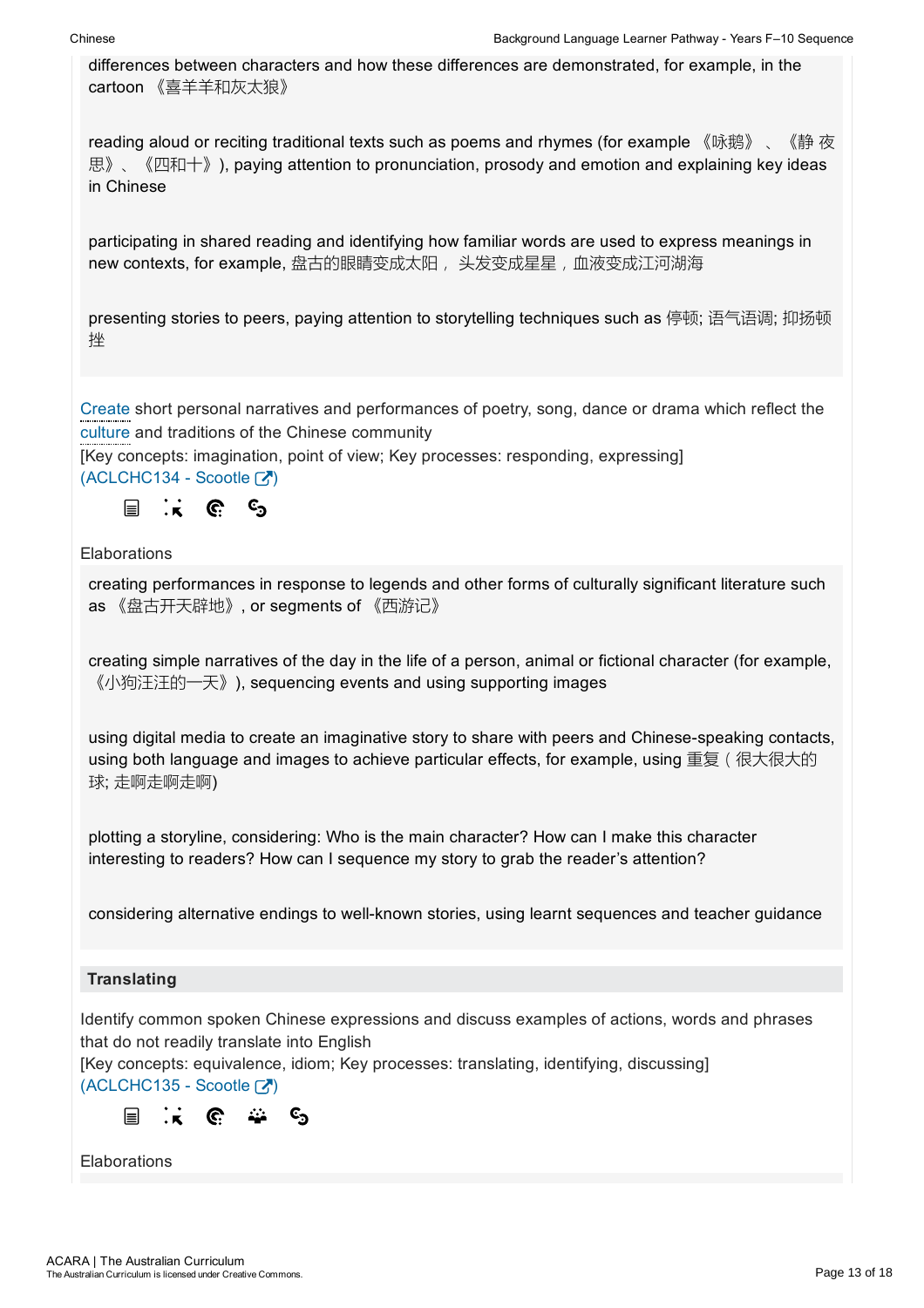differences between characters and how these differences are demonstrated, for example, in the cartoon 《喜羊羊和灰太狼》

reading aloud or reciting traditional texts such as poems and rhymes (for example 《咏鹅》、《静 夜 思》、《四和十》), paying attention to pronunciation, prosody and emotion and explaining key ideas in Chinese

participating in shared reading and identifying how familiar words are used to express meanings in new contexts, for example, 盘古的眼睛变成太阳, 头发变成星星, 血液变成江河湖海

presenting stories to peers, paying attention to storytelling techniques such as 停顿; 语气语调; 抑扬顿 挫

Create short personal narratives and performances of poetry, song, dance or drama which reflect the culture and traditions of the Chinese community

[Key concepts: imagination, point of view; Key processes: responding, expressing]  $(ACLCHC134 - Scootle$ 



**Elaborations** 

creating performances in response to legends and other forms of culturally significant literature such as 《盘古开天辟地》, or segments of 《西游记》

creating simple narratives of the day in the life of a person, animal or fictional character (for example, 《小狗汪汪的一天》), sequencing events and using supporting images

using digital media to create an imaginative story to share with peers and Chinese-speaking contacts, using both language and images to achieve particular effects, for example, using 重复 ( 很大很大的 球; 走啊走啊走啊)

plotting a storyline, considering: Who is the main character? How can I make this character interesting to readers? How can I sequence my story to grab the reader's attention?

considering alternative endings to well-known stories, using learnt sequences and teacher guidance

### **Translating**

Identify common spoken Chinese expressions and discuss examples of actions, words and phrases that do not readily translate into English

[Key concepts: equivalence, idiom; Key processes: translating, identifying, discussing]  $(ACLCHC135 - Scootle \overline{(\cdot)}$ 



Elaborations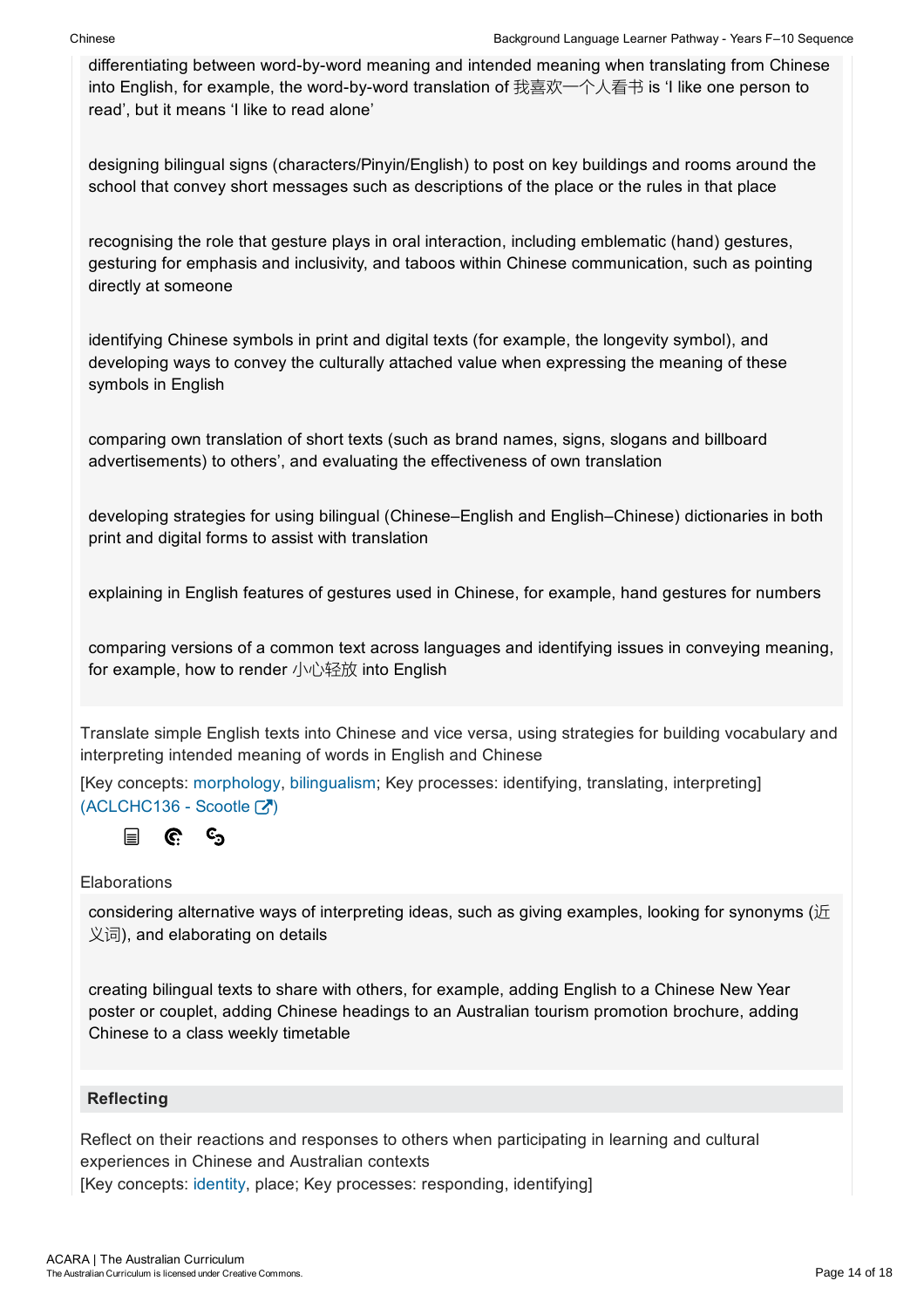differentiating between word-by-word meaning and intended meaning when translating from Chinese into English, for example, the word-by-word translation of 我喜欢一个人看书 is 'I like one person to read', but it means 'I like to read alone'

designing bilingual signs (characters/Pinyin/English) to post on key buildings and rooms around the school that convey short messages such as descriptions of the place or the rules in that place

recognising the role that gesture plays in oral interaction, including emblematic (hand) gestures, gesturing for emphasis and inclusivity, and taboos within Chinese communication, such as pointing directly at someone

identifying Chinese symbols in print and digital texts (for example, the longevity symbol), and developing ways to convey the culturally attached value when expressing the meaning of these symbols in English

comparing own translation of short texts (such as brand names, signs, slogans and billboard advertisements) to others', and evaluating the effectiveness of own translation

developing strategies for using bilingual (Chinese–English and English–Chinese) dictionaries in both print and digital forms to assist with translation

explaining in English features of gestures used in Chinese, for example, hand gestures for numbers

comparing versions of a common text across languages and identifying issues in conveying meaning, for example, how to render 小心轻放 into English

Translate simple English texts into Chinese and vice versa, using strategies for building vocabulary and interpreting intended meaning of words in English and Chinese

[Key concepts: morphology, bilingualism; Key processes: identifying, translating, interpreting]  $(ACLCHC136 -$ Scootle  $\lceil \overline{ \cdot \, \cdot \, \cdot \rceil} \rceil$ 



### Elaborations

considering alternative ways of interpreting ideas, such as giving examples, looking for synonyms ( $\overline{E}$ 义词), and elaborating on details

creating bilingual texts to share with others, for example, adding English to a Chinese New Year poster or couplet, adding Chinese headings to an Australian tourism promotion brochure, adding Chinese to a class weekly timetable

### **Reflecting**

Reflect on their reactions and responses to others when participating in learning and cultural experiences in Chinese and Australian contexts [Key concepts: identity, place; Key processes: responding, identifying]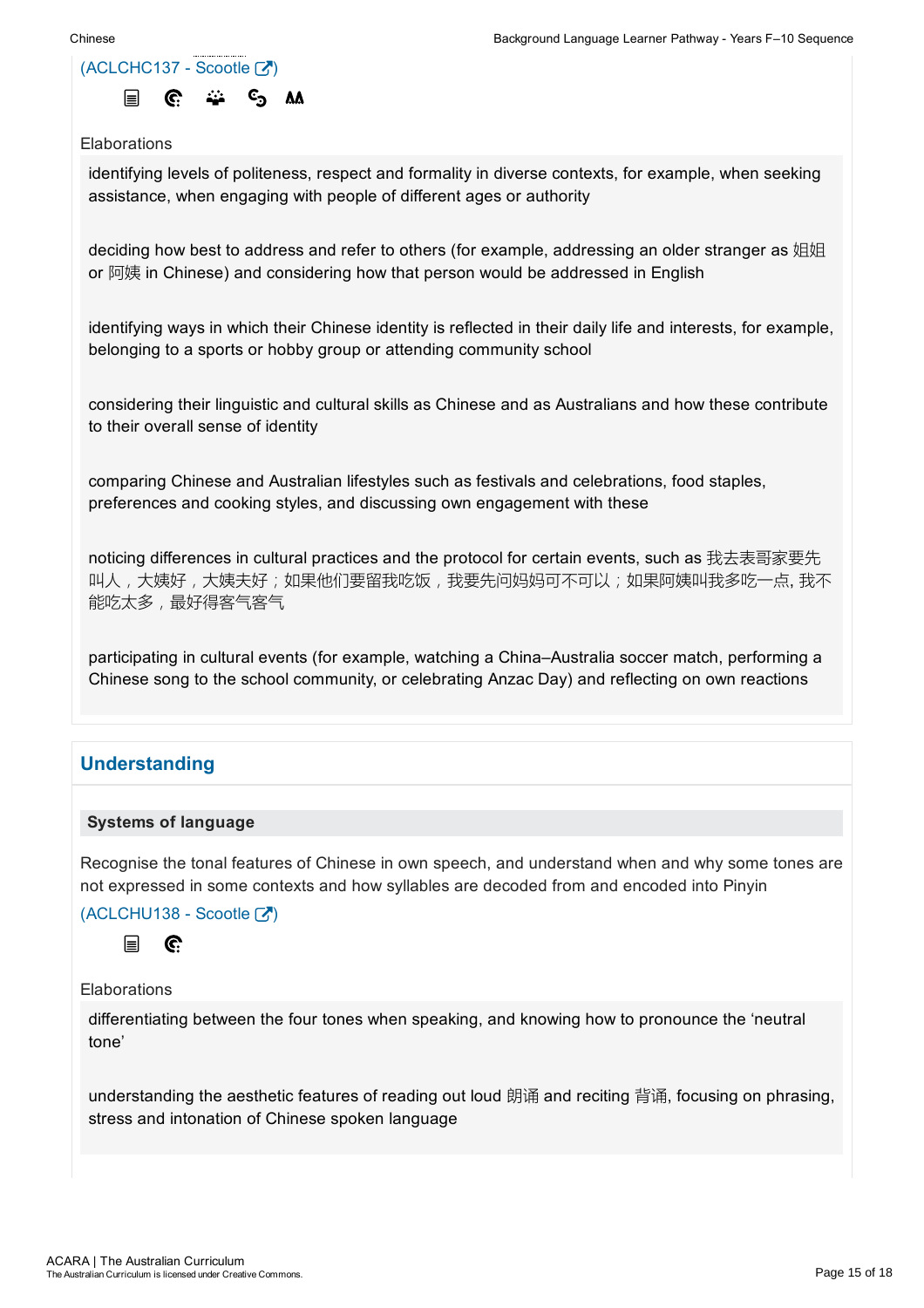identifying levels of politeness, respect and formality in diverse contexts, for example, when seeking assistance, when engaging with people of different ages or authority

deciding how best to address and refer to others (for example, addressing an older stranger as 姐姐 or 阿姨 in Chinese) and considering how that person would be addressed in English

identifying ways in which their Chinese identity is reflected in their daily life and interests, for example, belonging to a sports or hobby group or attending community school

considering their linguistic and cultural skills as Chinese and as Australians and how these contribute to their overall sense of identity

comparing Chinese and Australian lifestyles such as festivals and celebrations, food staples, preferences and cooking styles, and discussing own engagement with these

noticing differences in cultural practices and the protocol for certain events, such as 我去表哥家要先 叫人,大姨好,大姨夫好;如果他们要留我吃饭,我要先问妈妈可不可以;如果阿姨叫我多吃一点,我不 能吃太多,最好得客气客气

participating in cultural events (for example, watching a China–Australia soccer match, performing a Chinese song to the school community, or celebrating Anzac Day) and reflecting on own reactions

### Understanding

### Systems of language

Recognise the tonal features of Chinese in own speech, and understand when and why some tones are not expressed in some contexts and how syllables are decoded from and encoded into Pinyin

 $(ACLCHU138 - **Sco**otle  $\sqrt{2}$ )$ 



Elaborations

differentiating between the four tones when speaking, and knowing how to pronounce the 'neutral tone'

understanding the aesthetic features of reading out loud 朗诵 and reciting 背诵, focusing on phrasing, stress and intonation of Chinese spoken language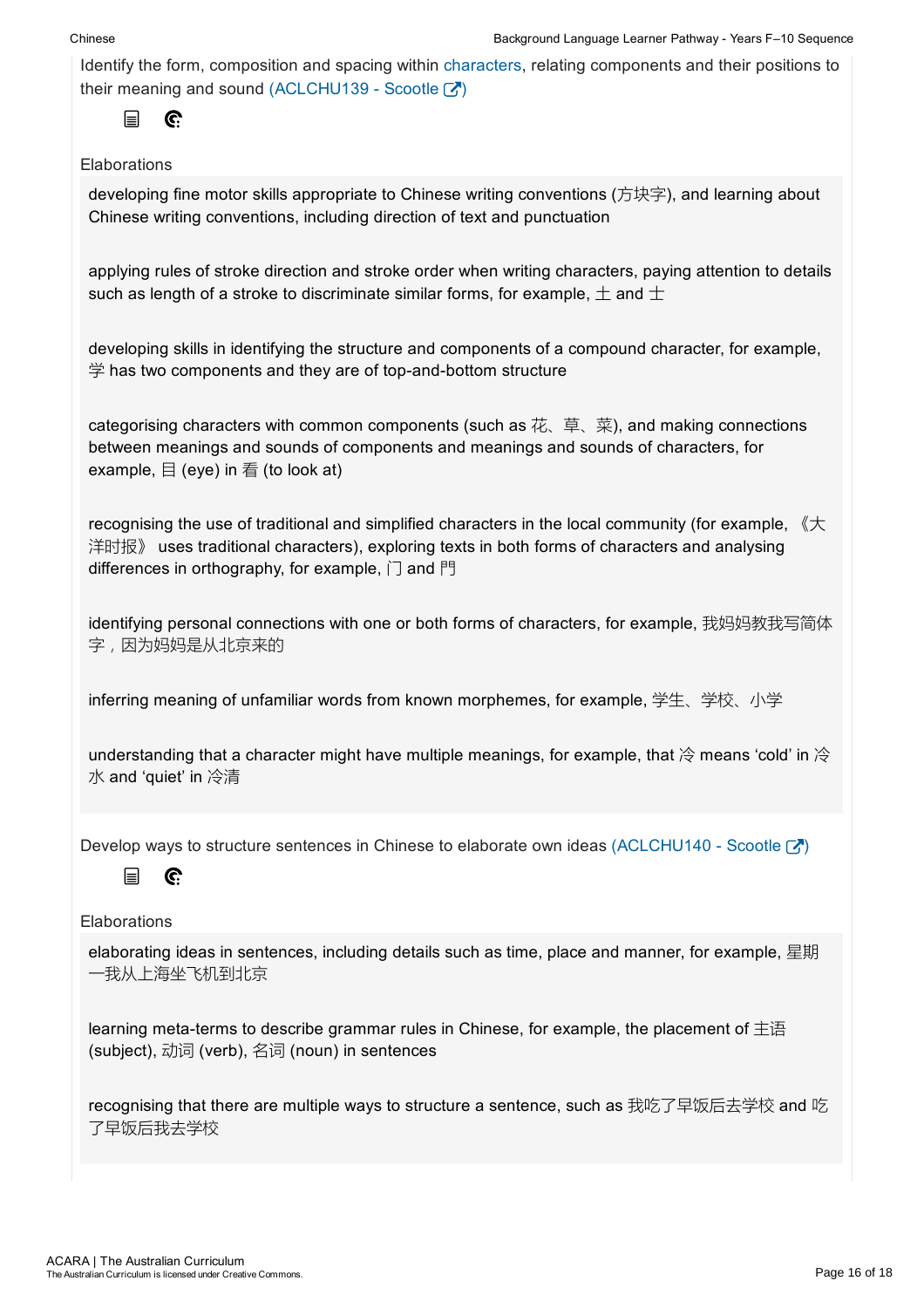Identify the form, composition and spacing within characters, relating components and their positions to their meaning and sound (ACLCHU139 - Scootle  $\boxed{3}$ )



### **Elaborations**

developing fine motor skills appropriate to Chinese writing conventions (方块字), and learning about Chinese writing conventions, including direction of text and punctuation

applying rules of stroke direction and stroke order when writing characters, paying attention to details such as length of a stroke to discriminate similar forms, for example,  $\pm$  and  $\pm$ 

developing skills in identifying the structure and components of a compound character, for example,  $\overset{\text{\tiny def}}{=}$  has two components and they are of top-and-bottom structure

categorising characters with common components (such as  $\ddot{\mathcal{A}}$ , 草、菜), and making connections between meanings and sounds of components and meanings and sounds of characters, for example,  $\boxminus$  (eye) in  $\equiv$  (to look at)

recognising the use of traditional and simplified characters in the local community (for example, 《大 洋时报》 uses traditional characters), exploring texts in both forms of characters and analysing differences in orthography, for example, 门 and 門

identifying personal connections with one or both forms of characters, for example, 我妈妈教我写简体 字,因为妈妈是从北京来的

inferring meaning of unfamiliar words from known morphemes, for example, 学生、学校、小学

understanding that a character might have multiple meanings, for example, that  $\hat{\otimes}$  means 'cold' in  $\hat{\otimes}$ 水 and 'quiet' in 冷清

Develop ways to structure sentences in Chinese to elaborate own ideas (ACLCHU140 - Scootle  $\binom{1}{k}$ )

#### $\mathbb{C}$ 目

**Elaborations** 

elaborating ideas in sentences, including details such as time, place and manner, for example, 星期 一我从上海坐飞机到北京

learning meta-terms to describe grammar rules in Chinese, for example, the placement of  $\pm \Xi$ (subject), 动词 (verb), 名词 (noun) in sentences

recognising that there are multiple ways to structure a sentence, such as 我吃了早饭后去学校 and 吃 了早饭后我去学校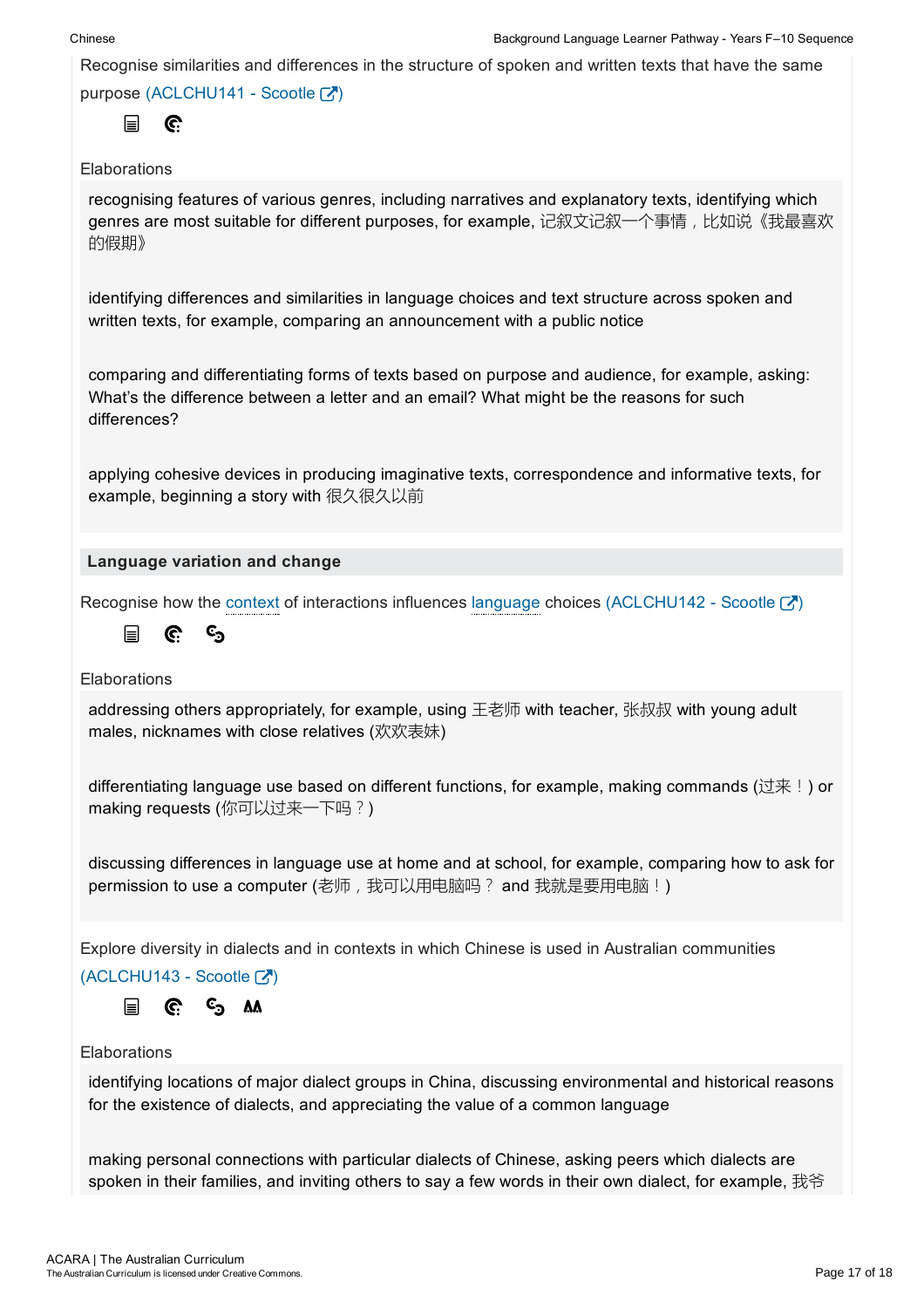Recognise similarities and differences in the structure of spoken and written texts that have the same

purpose (ACLCHU141 - Scootle  $\binom{7}{1}$ 

G. 目

### **Elaborations**

recognising features of various genres, including narratives and explanatory texts, identifying which genres are most suitable for different purposes, for example, 记叙文记叙一个事情,比如说《我最喜欢 的假期》

identifying differences and similarities in language choices and text structure across spoken and written texts, for example, comparing an announcement with a public notice

comparing and differentiating forms of texts based on purpose and audience, for example, asking: What's the difference between a letter and an email? What might be the reasons for such differences?

applying cohesive devices in producing imaginative texts, correspondence and informative texts, for example, beginning a story with 很久很久以前

### Language variation and change

Recognise how the context of interactions influences language choices (ACLCHU142 - Scootle  $\boxtimes$  )

©ු 冒 G.

**Elaborations** 

addressing others appropriately, for example, using 王老师 with teacher, 张叔叔 with young adult males, nicknames with close relatives (欢欢表妹)

differentiating language use based on different functions, for example, making commands (过来!) or making requests (你可以过来一下吗?)

discussing differences in language use at home and at school, for example, comparing how to ask for permission to use a computer (老师, 我可以用电脑吗? and 我就是要用电脑!)

Explore diversity in dialects and in contexts in which Chinese is used in Australian communities

 $(ACLCHU143 - ScoreI)$ 

 $C_{\mathcal{D}}$  AA 冒 C.

### Elaborations

identifying locations of major dialect groups in China, discussing environmental and historical reasons for the existence of dialects, and appreciating the value of a common language

making personal connections with particular dialects of Chinese, asking peers which dialects are spoken in their families, and inviting others to sav a few words in their own dialect, for example, 我爷